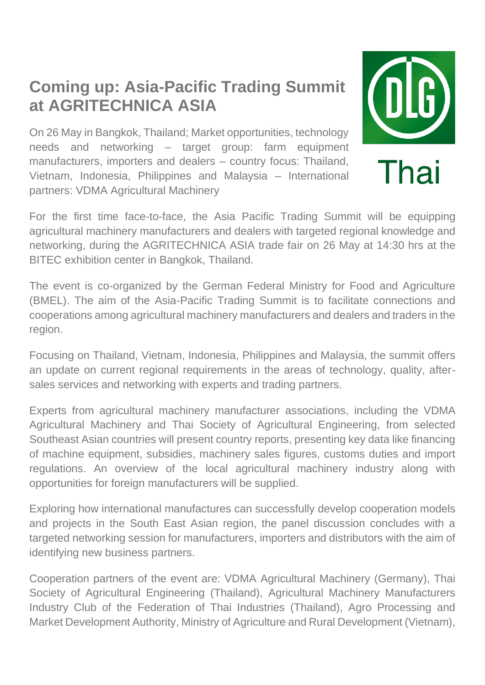## **Coming up: Asia-Pacific Trading Summit at AGRITECHNICA ASIA**

On 26 May in Bangkok, Thailand; Market opportunities, technology needs and networking – target group: farm equipment manufacturers, importers and dealers – country focus: Thailand, Vietnam, Indonesia, Philippines and Malaysia – International partners: VDMA Agricultural Machinery



For the first time face-to-face, the Asia Pacific Trading Summit will be equipping agricultural machinery manufacturers and dealers with targeted regional knowledge and networking, during the AGRITECHNICA ASIA trade fair on 26 May at 14:30 hrs at the BITEC exhibition center in Bangkok, Thailand.

The event is co-organized by the German Federal Ministry for Food and Agriculture (BMEL). The aim of the Asia-Pacific Trading Summit is to facilitate connections and cooperations among agricultural machinery manufacturers and dealers and traders in the region.

Focusing on Thailand, Vietnam, Indonesia, Philippines and Malaysia, the summit offers an update on current regional requirements in the areas of technology, quality, aftersales services and networking with experts and trading partners.

Experts from agricultural machinery manufacturer associations, including the VDMA Agricultural Machinery and Thai Society of Agricultural Engineering, from selected Southeast Asian countries will present country reports, presenting key data like financing of machine equipment, subsidies, machinery sales figures, customs duties and import regulations. An overview of the local agricultural machinery industry along with opportunities for foreign manufacturers will be supplied.

Exploring how international manufactures can successfully develop cooperation models and projects in the South East Asian region, the panel discussion concludes with a targeted networking session for manufacturers, importers and distributors with the aim of identifying new business partners.

Cooperation partners of the event are: VDMA Agricultural Machinery (Germany), Thai Society of Agricultural Engineering (Thailand), Agricultural Machinery Manufacturers Industry Club of the Federation of Thai Industries (Thailand), Agro Processing and Market Development Authority, Ministry of Agriculture and Rural Development (Vietnam),